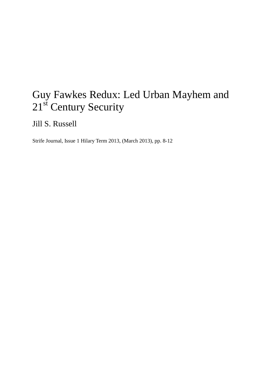## Guy Fawkes Redux: Led Urban Mayhem and 21<sup>st</sup> Century Security

Jill S. Russell

Strife Journal, Issue 1 Hilary Term 2013, (March 2013), pp. 8-12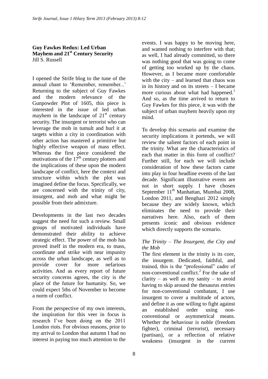## **Guy Fawkes Redux: Led Urban Mayhem and 21st Century Security** Jill S. Russell

I opened the Strife blog to the tune of the annual chant to 'Remember, remember...' Returning to the subject of Guy Fawkes and the modern relevance of the Gunpowder Plot of 1605, this piece is interested in the issue of led urban mayhem in the landscape of  $21<sup>st</sup>$  century security. The insurgent or terrorist who can leverage the mob in tumult and hurl it at targets within a city in coordination with other action has mastered a primitive but highly effective weapon of mass effect. Whereas the first piece considered the motivations of the  $17<sup>th</sup>$  century plotters and the implications of these upon the modern landscape of conflict, here the context and structure within which the plot was imagined define the focus. Specifically, we are concerned with the trinity of city, insurgent, and mob and what might be possible from their admixture.

Developments in the last two decades suggest the need for such a review. Small groups of motivated individuals have demonstrated their ability to achieve strategic effect. The power of the mob has proved itself in the modern era, to mass, coordinate and strike with near impunity across the urban landscape, as well as to provide cover for more nefarious activities. And as every report of future security concerns agrees, the city is *the* place of the future for humanity. So, we could expect 5ths of November to become a norm of conflict.

From the perspective of my own interests, the inspiration for this veer in focus is research I"ve been doing on the 2011 London riots. For obvious reasons, prior to my arrival to London that autumn I had no interest in paying too much attention to the events. I was happy to be moving here, and wanted nothing to interfere with that; as well, I had already committed, so there was nothing good that was going to come of getting too worked up by the chaos. However, as I became more comfortable with the city – and learned that chaos was in its history and on its streets – I became more curious about what had happened.<sup>1</sup> And so, as the time arrived to return to Guy Fawkes for this piece, it was with the subject of urban mayhem heavily upon my mind.

To develop this scenario and examine the security implications it portends, we will review the salient factors of each point in the trinity. What are the characteristics of each that matter in this form of conflict? Further still, for each we will include consideration of how these factors came into play in four headline events of the last decade. Significant illustrative events are not in short supply. I have chosen September 11<sup>th</sup> Manhattan, Mumbai 2008, London 2011, and Benghazi 2012 simply because they are widely known, which eliminates the need to provide their narratives here. Also, each of them presents iconic and obvious evidence which directly supports the scenario.

## *The Trinity – The Insurgent, the City and the Mob*

The first element in the trinity is its core, the insurgent. Dedicated, faithful, and trained, this is the "professional" cadre of non-conventional conflict. 2 For the sake of clarity – as well as my sanity – to avoid having to skip around the thesaurus entries for non-conventional combatant, I use insurgent to cover a multitude of actors, and define it as one willing to fight against an established order using nonconventional or asymmetrical means. Whether the behaviour is noble (freedom fighter), criminal (terrorist), necessary (partisan), or a reflection of relative weakness (insurgent in the current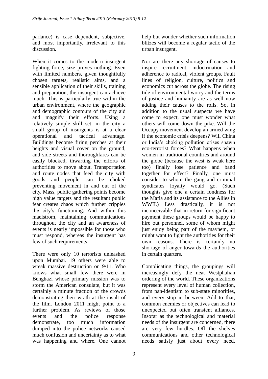parlance) is case dependent, subjective, and most importantly, irrelevant to this discussion.

When it comes to the modern insurgent fighting force, size proves nothing. Even with limited numbers, given thoughtfully chosen targets, realistic aims, and a sensible application of their skills, training and preparation, the insurgent can achieve much. This is particularly true within the urban environment, where the geographic and demographic contours of the city aid and magnify their efforts. Using a relatively simple skill set, in the city a small group of insurgents is at a clear operational and tactical advantage. Buildings become firing perches at their heights and visual cover on the ground, and side streets and thoroughfares can be easily blocked, thwarting the efforts of authorities to move about. Transportation and route nodes that feed the city with goods and people can be choked preventing movement in and out of the city. Mass, public gathering points become high value targets and the resultant public fear creates chaos which further cripples the city"s functioning. And within this maelstrom, maintaining communications throughout the city and an awareness of events is nearly impossible for those who must respond, whereas the insurgent has few of such requirements.

There were only 10 terrorists unleashed upon Mumbai. 19 others were able to wreak massive destruction on 9/11. Who knows what small few there were in Benghazi whose primary mission was to storm the American consulate, but it was certainly a minute fraction of the crowds demonstrating their wrath at the insult of the film. London 2011 might point to a further problem. As reviews of those events and the police response demonstrate, too much information dumped into the police networks caused much confusion and uncertainty as to what was happening and where. One cannot

help but wonder whether such information blitzes will become a regular tactic of the urban insurgent.

Nor are there any shortage of causes to inspire recruitment, indoctrination and adherence to radical, violent groups. Fault lines of religion, culture, politics and economics cut across the globe. The rising tide of environmental worry and the terms of justice and humanity are as well now adding their causes to the rolls. So, in addition to the usual suspects we have come to expect, one must wonder what others will come down the pike. Will the Occupy movement develop an armed wing if the economic crisis deepens? Will China or India"s choking pollution crises spawn eco-terrorist forces? What happens when women in traditional countries and around the globe (because the west is weak here too) finally lose patience and band together for effect? Finally, one must consider to whom the gang and criminal syndicates loyalty would go. (Such thoughts give one a certain fondness for the Mafia and its assistance to the Allies in WWII.) Less drastically, it is not inconceivable that in return for significant payment these groups would be happy to hire out personnel, some of whom might just enjoy being part of the mayhem, or might want to fight the authorities for their own reasons. There is certainly no shortage of anger towards the authorities in certain quarters.

Complicating things, the groupings will increasingly defy the neat Westphalian ordering of the world. These organizations represent every level of human collection, from pan-identism to sub-state minorities, and every stop in between. Add to that, common enemies or objectives can lead to unexpected but often transient alliances. Insofar as the technological and material needs of the insurgent are concerned, there are very few hurdles. Off the shelves communications and other technological needs satisfy just about every need.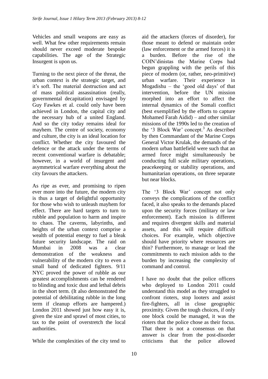Vehicles and small weapons are easy as well. What few other requirements remain should never exceed moderate bespoke capabilities. The age of the Strategic Insurgent is upon us.

Turning to the next piece of the threat, the urban context is *the* strategic target, and it's soft. The material destruction and act of mass political assassination (really, governmental decapitation) envisaged by Guy Fawkes et al. could only have been achieved in London, the capital city and the necessary hub of a united England. And so the city today remains ideal for mayhem. The centre of society, economy and culture, the city is an ideal location for conflict. Whether the city favoured the defence or the attack under the terms of recent conventional warfare is debatable; however, in a world of insurgent and asymmetrical warfare everything about the city favours the attackers.

As ripe as ever, and promising to ripen ever more into the future, the modern city is thus a target of delightful opportunity for those who wish to unleash mayhem for effect. There are hard targets to turn to rubble and population to harm and inspire to chaos. The caverns, labyrinths, and heights of the urban context comprise a wealth of potential energy to fuel a bleak future security landscape. The raid on Mumbai in 2008 was a clear demonstration of the weakness and vulnerability of the modern city to even a small band of dedicated fighters. 9/11 NYC proved the power of rubble as our greatest accomplishments can be rendered to blinding and toxic dust and lethal debris in the short term. (It also demonstrated the potential of debilitating rubble in the long term if cleanup efforts are hampered.) London 2011 showed just how easy it is, given the size and sprawl of most cities, to tax to the point of overstretch the local authorities.

While the complexities of the city tend to

aid the attackers (forces of disorder), for those meant to defend or maintain order (law enforcement or the armed forces) it is a burden. Before the rise of the COIN"dinistas the Marine Corps had begun grappling with the perils of this piece of modern (or, rather, neo-primitive) urban warfare. Their experience in Mogadishu – the 'good old days' of that intervention, before the UN mission morphed into an effort to affect the internal dynamics of the Somali conflict (best exemplified by the efforts to capture Mohamed Farah Aidid) – and other similar missions of the 1990s led to the creation of the  $\mathcal{L}$  Block War' concept.<sup>3</sup> As described by then Commandant of the Marine Corps General Victor Krulak, the demands of the modern urban battlefield were such that an armed force might simultaneously be conducting full scale military operations, peacekeeping or stability operations, and humanitarian operations, on three separate but near blocks.

The '3 Block War' concept not only conveys the complications of the conflict faced, it also speaks to the demands placed upon the security forces (military or law enforcement). Each mission is different and requires divergent skills and material assets, and this will require difficult choices. For example, which objective should have priority where resources are thin? Furthermore, to manage or lead the commitments to each mission adds to the burden by increasing the complexity of command and control.

I have no doubt that the police officers who deployed to London 2011 could understand this model as they struggled to confront rioters, stop looters and assist fire-fighters, all in close geographic proximity. Given the tough choices, if only one block could be managed, it was the rioters that the police chose as their focus. That there is not a consensus on that answer is clear from the post-disorder criticisms that the police allowed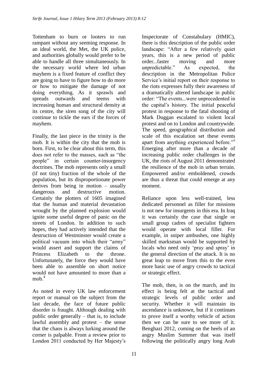Tottenham to burn or looters to run rampant without any seeming response. In an ideal world, the Met, the UK police, and authorities globally would prefer to be able to handle all three simultaneously. In the necessary world where led urban mayhem is a fixed feature of conflict they are going to have to figure how to do more or how to mitigate the damage of not doing everything. As it sprawls and spreads outwards and teems with increasing human and structural density at its centre, the siren song of the city will continue to tickle the ears if the forces of mayhem.

Finally, the last piece in the trinity is the mob. It is within the city that the mob is born. First, to be clear about this term, this does not refer to the masses, such as "the people" in certain counter-insurgency doctrines. The mob represents only a small (if not tiny) fraction of the whole of the population, but its disproportionate power derives from being in motion – usually dangerous and destructive motion. Certainly the plotters of 1605 imagined that the human and material devastation wrought by the planned explosion would ignite some useful degree of panic on the streets of London. In addition to such hopes, they had actively intended that the destruction of Westminster would create a political vacuum into which their "army" would assert and support the claims of Princess Elizabeth to the throne. Unfortunately, the force they would have been able to assemble on short notice would not have amounted to more than a mob. $<sup>4</sup>$ </sup>

As noted in every UK law enforcement report or manual on the subject from the last decade, the face of future public disorder is fraught. Although dealing with public order generally – that is, to include lawful assembly and protest – the sense that the chaos is always lurking around the corner is palpable. From a review prior to London 2011 conducted by Her Majesty"s

Inspectorate of Constabulary (HMIC), there is this description of the public order landscape: "After a few relatively quiet years, this is a new period of public order...faster moving and more unpredictable." As expected, the description in the Metropolitan Police Service's initial report on their response to the riots expresses fully their awareness of a dramatically altered landscape in public order: "The events...were unprecedented in the capital"s history. The initial peaceful protest in response to the fatal shooting of Mark Duggan escalated to violent local protest and on to London and countrywide. The speed, geographical distribution and scale of this escalation set these events apart from anything experienced before."<sup>5</sup> Emerging after more than a decade of increasing public order challenges in the UK, the riots of August 2011 demonstrated the resilience of the mob in urban terrain. Empowered and/or emboldened, crowds are thus a threat that could emerge at any moment.

Reliance upon less well-trained, less dedicated personnel as filler for missions is not new for insurgents in this era. In Iraq it was certainly the case that single or small group cadres of specialist fighters would operate with local filler. For example, in sniper ambushes, one highly skilled marksman would be supported by locals who need only 'pray and spray' in the general direction of the attack. It is no great leap to move from this to the even more basic use of angry crowds to tactical or strategic effect.

The mob, then, is on the march, and its effect is being felt at the tactical and strategic levels of public order and security. Whether it will maintain its ascendance is unknown, but if it continues to prove itself a worthy vehicle of action then we can be sure to see more of it. Benghazi 2012, coming on the heels of an angry Muslim Summer that was itself following the politically angry long Arab